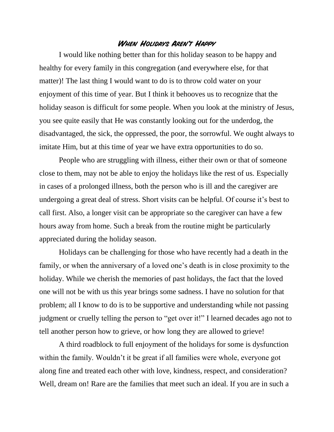## **When Holidays Aren't Happy**

I would like nothing better than for this holiday season to be happy and healthy for every family in this congregation (and everywhere else, for that matter)! The last thing I would want to do is to throw cold water on your enjoyment of this time of year. But I think it behooves us to recognize that the holiday season is difficult for some people. When you look at the ministry of Jesus, you see quite easily that He was constantly looking out for the underdog, the disadvantaged, the sick, the oppressed, the poor, the sorrowful. We ought always to imitate Him, but at this time of year we have extra opportunities to do so.

People who are struggling with illness, either their own or that of someone close to them, may not be able to enjoy the holidays like the rest of us. Especially in cases of a prolonged illness, both the person who is ill and the caregiver are undergoing a great deal of stress. Short visits can be helpful. Of course it's best to call first. Also, a longer visit can be appropriate so the caregiver can have a few hours away from home. Such a break from the routine might be particularly appreciated during the holiday season.

Holidays can be challenging for those who have recently had a death in the family, or when the anniversary of a loved one's death is in close proximity to the holiday. While we cherish the memories of past holidays, the fact that the loved one will not be with us this year brings some sadness. I have no solution for that problem; all I know to do is to be supportive and understanding while not passing judgment or cruelly telling the person to "get over it!" I learned decades ago not to tell another person how to grieve, or how long they are allowed to grieve!

A third roadblock to full enjoyment of the holidays for some is dysfunction within the family. Wouldn't it be great if all families were whole, everyone got along fine and treated each other with love, kindness, respect, and consideration? Well, dream on! Rare are the families that meet such an ideal. If you are in such a